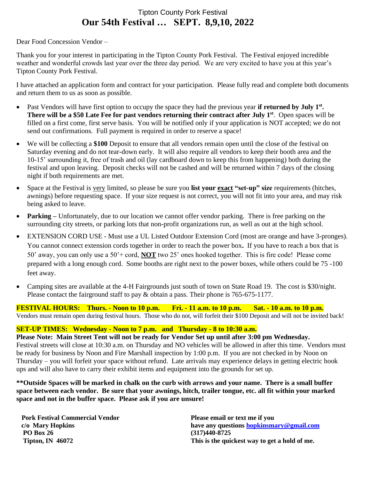## Tipton County Pork Festival **Our 54th Festival … SEPT. 8,9,10, 2022**

#### Dear Food Concession Vendor –

Thank you for your interest in participating in the Tipton County Pork Festival. The Festival enjoyed incredible weather and wonderful crowds last year over the three day period. We are very excited to have you at this year's Tipton County Pork Festival.

I have attached an application form and contract for your participation. Please fully read and complete both documents and return them to us as soon as possible.

- Past Vendors will have first option to occupy the space they had the previous year **if returned by July 1**<sup>st</sup>. **There will be a \$50 Late Fee for past vendors returning their contract after July 1 st**. Open spaces will be filled on a first come, first serve basis. You will be notified only if your application is NOT accepted; we do not send out confirmations. Full payment is required in order to reserve a space!
- We will be collecting a **\$100** Deposit to ensure that all vendors remain open until the close of the festival on Saturday evening and do not tear-down early. It will also require all vendors to keep their booth area and the 10-15' surrounding it, free of trash and oil (lay cardboard down to keep this from happening) both during the festival and upon leaving. Deposit checks will not be cashed and will be returned within 7 days of the closing night if both requirements are met.
- Space at the Festival is very limited, so please be sure you **list your exact "set-up" size** requirements (hitches, awnings) before requesting space. If your size request is not correct, you will not fit into your area, and may risk being asked to leave.
- **Parking** Unfortunately, due to our location we cannot offer vendor parking. There is free parking on the surrounding city streets, or parking lots that non-profit organizations run, as well as out at the high school.
- EXTENSION CORD USE Must use a UL Listed Outdoor Extension Cord (most are orange and have 3-pronges). You cannot connect extension cords together in order to reach the power box**.** If you have to reach a box that is 50' away, you can only use a 50'+ cord, **NOT** two 25' ones hooked together. This is fire code! Please come prepared with a long enough cord. Some booths are right next to the power boxes, while others could be 75 -100 feet away.
- Camping sites are available at the 4-H Fairgrounds just south of town on State Road 19. The cost is \$30/night. Please contact the fairground staff to pay & obtain a pass. Their phone is 765-675-1177.

**FESTIVAL HOURS: Thurs. - Noon to 10 p.m. Fri. - 11 a.m. to 10 p.m. Sat. - 10 a.m. to 10 p.m.** Vendors must remain open during festival hours. Those who do not, will forfeit their \$100 Deposit and will not be invited back!

#### **SET-UP TIMES: Wednesday - Noon to 7 p.m. and Thursday - 8 to 10:30 a.m.**

**Please Note: Main Street Tent will not be ready for Vendor Set up until after 3:00 pm Wednesday.** Festival streets will close at 10:30 a.m. on Thursday and NO vehicles will be allowed in after this time. Vendors must be ready for business by Noon and Fire Marshall inspection by 1:00 p.m. If you are not checked in by Noon on Thursday – you will forfeit your space without refund. Late arrivals may experience delays in getting electric hook ups and will also have to carry their exhibit items and equipment into the grounds for set up.

**\*\*Outside Spaces will be marked in chalk on the curb with arrows and your name. There is a small buffer space between each vendor. Be sure that your awnings, hitch, trailer tongue, etc. all fit within your marked space and not in the buffer space. Please ask if you are unsure!**

| <b>Pork Festival Commercial Vendor</b> | Please email or text me if you                |
|----------------------------------------|-----------------------------------------------|
| c/o Mary Hopkins                       | have any questions hopkinsmary@gmail.com      |
| <b>PO Box 26</b>                       | $(317)440 - 8725$                             |
| Tipton, IN $46072$                     | This is the quickest way to get a hold of me. |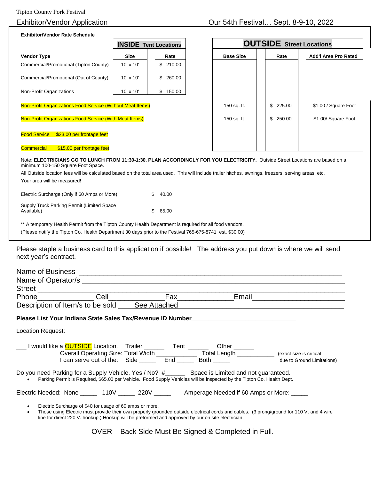| <b>Exhibitor/Vendor Rate Schedule</b>                                                                                                                               |                              |              |                  |                                 |                      |  |
|---------------------------------------------------------------------------------------------------------------------------------------------------------------------|------------------------------|--------------|------------------|---------------------------------|----------------------|--|
|                                                                                                                                                                     | <b>INSIDE Tent Locations</b> |              |                  | <b>OUTSIDE</b> Street Locations |                      |  |
| <b>Vendor Type</b>                                                                                                                                                  | <b>Size</b>                  | Rate         | <b>Base Size</b> | Rate                            | Add'l Area Pro Rated |  |
| Commercial/Promotional (Tipton County)                                                                                                                              | $10' \times 10'$             | \$210.00     |                  |                                 |                      |  |
| Commercial/Promotional (Out of County)                                                                                                                              | 10' x 10'                    | \$<br>260.00 |                  |                                 |                      |  |
| Non-Profit Organizations                                                                                                                                            | $10' \times 10'$             | \$<br>150.00 |                  |                                 |                      |  |
| <b>Non-Profit Organizations Food Service (Without Meat Items)</b>                                                                                                   |                              |              | 150 sq. ft.      | \$<br>225.00                    | \$1.00 / Square Foot |  |
| Non-Profit Organizations Food Service (With Meat Items)                                                                                                             |                              |              | 150 sq. ft.      | \$<br>250.00                    | \$1.00/ Square Foot  |  |
| <b>Food Service</b><br>\$23.00 per frontage feet                                                                                                                    |                              |              |                  |                                 |                      |  |
| <b>Commercial</b><br>\$15.00 per frontage feet                                                                                                                      |                              |              |                  |                                 |                      |  |
| Note: ELECTRICIANS GO TO LUNCH FROM 11:30-1:30. PLAN ACCORDINGLY FOR YOU ELECTRICITY. Outside Street Locations are based on a<br>minimum 100-150 Square Foot Space. |                              |              |                  |                                 |                      |  |
| All Outside location fees will be calculated based on the total area used. This will include trailer hitches, awnings, freezers, serving areas, etc.                |                              |              |                  |                                 |                      |  |
| Your area will be measured!                                                                                                                                         |                              |              |                  |                                 |                      |  |
|                                                                                                                                                                     |                              |              |                  |                                 |                      |  |

Electric Surcharge (Only if 60 Amps or More) \$ 40.00 Supply Truck Parking Permit (Limited Space Available) \$ 65.00

\*\* A temporary Health Permit from the Tipton County Health Department is required for all food vendors.

(Please notify the Tipton Co. Health Department 30 days prior to the Festival 765-675-8741 est. \$30.00)

Please staple a business card to this application if possible! The address you put down is where we will send next year's contract.

|                          |                                                          |                                                                                                                                                                                                                                                                   | Email <b>Exercise Service Service Service</b> Service Service Service Service Service Service Service Service Service |
|--------------------------|----------------------------------------------------------|-------------------------------------------------------------------------------------------------------------------------------------------------------------------------------------------------------------------------------------------------------------------|-----------------------------------------------------------------------------------------------------------------------|
|                          | Description of Item/s to be sold ______ See Attached     |                                                                                                                                                                                                                                                                   |                                                                                                                       |
|                          |                                                          | Please List Your Indiana State Sales Tax/Revenue ID Number_______________________                                                                                                                                                                                 |                                                                                                                       |
| <b>Location Request:</b> |                                                          |                                                                                                                                                                                                                                                                   |                                                                                                                       |
|                          |                                                          | I would like a <b>OUTSIDE</b> Location. Trailer ________ Tent _______ Other ______<br>Overall Operating Size: Total Width ______________________ Total Length _______________ (exact size is critical<br>I can serve out of the: Side ______ End _____ Both _____ | due to Ground Limitations)                                                                                            |
| $\bullet$                |                                                          | Do you need Parking for a Supply Vehicle, Yes / No? #________ Space is Limited and not guaranteed.<br>Parking Permit is Required, \$65.00 per Vehicle. Food Supply Vehicles will be inspected by the Tipton Co. Health Dept.                                      |                                                                                                                       |
|                          |                                                          | Electric Needed: None 110V 220V ______ Amperage Needed if 60 Amps or More: _____                                                                                                                                                                                  |                                                                                                                       |
| $\bullet$<br>$\bullet$   | Electric Surcharge of \$40 for usage of 60 amps or more. | Those using Electric must provide their own properly grounded outside electrical cords and cables. (3 prong/ground for 110 V. and 4 wire<br>line for direct 220 V. hookup.) Hookup will be preformed and approved by our on site electrician.                     |                                                                                                                       |

OVER – Back Side Must Be Signed & Completed in Full.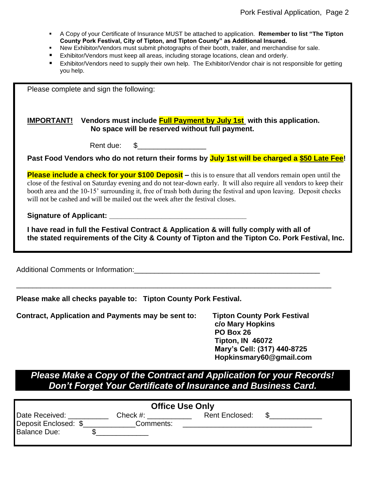- A Copy of your Certificate of Insurance MUST be attached to application. **Remember to list "The Tipton County Pork Festival, City of Tipton, and Tipton County" as Additional Insured.**
- New Exhibitor/Vendors must submit photographs of their booth, trailer, and merchandise for sale.
- Exhibitor/Vendors must keep all areas, including storage locations, clean and orderly.
- Exhibitor/Vendors need to supply their own help. The Exhibitor/Vendor chair is not responsible for getting you help.

Please complete and sign the following:

### **IMPORTANT! Vendors must include Full Payment by July 1st with this application. No space will be reserved without full payment.**

| Rent due: |  |
|-----------|--|
|-----------|--|

**Past Food Vendors who do not return their forms by July 1st will be charged a \$50 Late Fee!**

**Please include a check for your \$100 Deposit** – this is to ensure that all vendors remain open until the close of the festival on Saturday evening and do not tear-down early. It will also require all vendors to keep their booth area and the 10-15' surrounding it, free of trash both during the festival and upon leaving. Deposit checks will not be cashed and will be mailed out the week after the festival closes.

### **Signature of Applicant:**

**I have read in full the Festival Contract & Application & will fully comply with all of the stated requirements of the City & County of Tipton and the Tipton Co. Pork Festival, Inc.**

\_\_\_\_\_\_\_\_\_\_\_\_\_\_\_\_\_\_\_\_\_\_\_\_\_\_\_\_\_\_\_\_\_\_\_\_\_\_\_\_\_\_\_\_\_\_\_\_\_\_\_\_\_\_\_\_\_\_\_\_\_\_\_\_\_\_\_\_\_\_\_\_\_\_\_\_\_\_

Additional Comments or Information:

**Please make all checks payable to: Tipton County Pork Festival.**

**Contract, Application and Payments may be sent to: Tipton County Pork Festival**

**c/o Mary Hopkins PO Box 26 Tipton, IN 46072 Mary's Cell: (317) 440-8725 Hopkinsmary60@gmail.com**

# *Please Make a Copy of the Contract and Application for your Records! Don't Forget Your Certificate of Insurance and Business Card.*

| <b>Office Use Only</b>                 |                          |                       |  |
|----------------------------------------|--------------------------|-----------------------|--|
| Date Received:<br>Deposit Enclosed: \$ | Check $#$ :<br>Comments: | <b>Rent Enclosed:</b> |  |
| <b>Balance Due:</b>                    |                          |                       |  |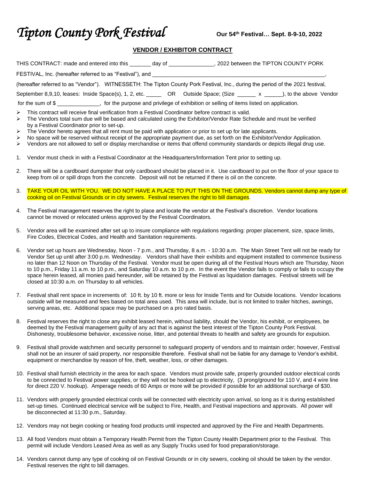# **Tipton County Pork Festival**

#### **VENDOR / EXHIBITOR CONTRACT**

| THIS CONTRACT: made and entered into this only of any of                                                                        | 2022 between the TIPTON COUNTY PORK |
|---------------------------------------------------------------------------------------------------------------------------------|-------------------------------------|
| FESTIVAL, Inc. (hereafter referred to as "Festival"), and                                                                       |                                     |
| (hereafter referred to as "Vendor"). WITNESSETH: The Tipton County Pork Festival, Inc., during the period of the 2021 festival, |                                     |
| September 8,9,10, leases: Inside Space(s), 1, 2, etc. _______ OR Outside Space; (Size ______ x _____), to the above Vendor      |                                     |
| for the sum of \$                                                                                                               |                                     |

- ➢ This contract will receive final verification from a Festival Coordinator before contract is valid.
- ➢ The Vendors total sum due will be based and calculated using the Exhibitor/Vendor Rate Schedule and must be verified by a Festival Coordinator prior to set-up.
- $\triangleright$  The Vendor hereto agrees that all rent must be paid with application or prior to set up for late applicants.
- No space will be reserved without receipt of the appropriate payment due, as set forth on the Exhibitor/Vendor Application.
- ➢ Vendors are not allowed to sell or display merchandise or items that offend community standards or depicts illegal drug use.
- 1. Vendor must check in with a Festival Coordinator at the Headquarters/Information Tent prior to setting up.
- 2. There will be a cardboard dumpster that only cardboard should be placed in it. Use cardboard to put on the floor of your space to keep from oil or spill drops from the concrete. Deposit will not be returned if there is oil on the concrete.
- 3. TAKE YOUR OIL WITH YOU. WE DO NOT HAVE A PLACE TO PUT THIS ON THE GROUNDS. Vendors cannot dump any type of cooking oil on Festival Grounds or in city sewers. Festival reserves the right to bill damages.
- 4. The Festival management reserves the right to place and locate the vendor at the Festival's discretion. Vendor locations cannot be moved or relocated unless approved by the Festival Coordinators.
- 5. Vendor area will be examined after set up to insure compliance with regulations regarding: proper placement, size, space limits, Fire Codes, Electrical Codes, and Health and Sanitation requirements.
- 6. Vendor set up hours are Wednesday, Noon 7 p.m., and Thursday, 8 a.m. 10:30 a.m. The Main Street Tent will not be ready for Vendor Set up until after 3:00 p.m. Wednesday. Vendors shall have their exhibits and equipment installed to commence business no later than 12 Noon on Thursday of the Festival. Vendor must be open during all of the Festival Hours which are Thursday, Noon to 10 p.m., Friday 11 a.m. to 10 p.m., and Saturday 10 a.m. to 10 p.m. In the event the Vendor fails to comply or fails to occupy the space herein leased, all monies paid hereunder, will be retained by the Festival as liquidation damages. Festival streets will be closed at 10:30 a.m. on Thursday to all vehicles.
- 7. Festival shall rent space in increments of: 10 ft. by 10 ft. more or less for Inside Tents and for Outside locations. Vendor locations outside will be measured and fees based on total area used. This area will include, but is not limited to trailer hitches, awnings, serving areas, etc. Additional space may be purchased on a pro rated basis.
- 8. Festival reserves the right to close any exhibit leased herein, without liability, should the Vendor, his exhibit, or employees, be deemed by the Festival management guilty of any act that is against the best interest of the Tipton County Pork Festival. Dishonesty, troublesome behavior, excessive noise, litter, and potential threats to health and safety are grounds for expulsion.
- 9. Festival shall provide watchmen and security personnel to safeguard property of vendors and to maintain order; however, Festival shall not be an insurer of said property, nor responsible therefore. Festival shall not be liable for any damage to Vendor's exhibit, equipment or merchandise by reason of fire, theft, weather, loss, or other damages.
- 10. Festival shall furnish electricity in the area for each space. Vendors must provide safe, properly grounded outdoor electrical cords to be connected to Festival power supplies, or they will not be hooked up to electricity, (3 prong/ground for 110 V, and 4 wire line for direct 220 V. hookup). Amperage needs of 60 Amps or more will be provided if possible for an additional surcharge of \$30.
- 11. Vendors with properly grounded electrical cords will be connected with electricity upon arrival, so long as it is during established set-up times. Continued electrical service will be subject to Fire, Health, and Festival inspections and approvals. All power will be disconnected at 11:30 p.m., Saturday.
- 12. Vendors may not begin cooking or heating food products until inspected and approved by the Fire and Health Departments.
- 13. All food Vendors must obtain a Temporary Health Permit from the Tipton County Health Department prior to the Festival. This permit will include Vendors Leased Area as well as any Supply Trucks used for food preparation/storage.
- 14. Vendors cannot dump any type of cooking oil on Festival Grounds or in city sewers, cooking oil should be taken by the vendor. Festival reserves the right to bill damages.